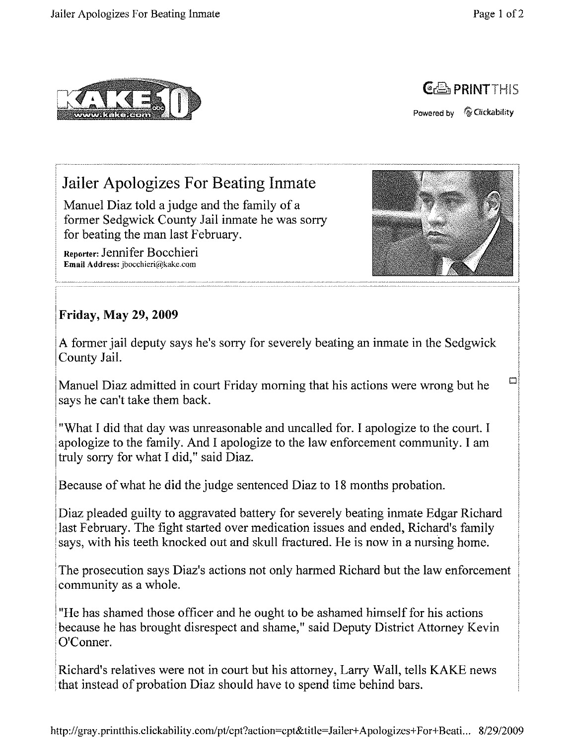$\Box$ 





Powered by *Q* Clickability

## . **Jailer Apologizes For Beating Inmate**

Manuel Diaz told a judge and the family of a former Sedgwick County Jail inmate he was sorry for beating the man last February.

Reporter: Jennifer Bocchieri **Email Address:** ibocchieri@kake.com



## **Friday, May 29, 2009**

A former jail deputy says he's sorry for severely beating an inmate in the Sedgwick County Jail.

Manuel Diaz admitted in court Friday morning that his actions were wrong but he says he can't take them back.

"What I did that day was unreasonable and uncalled for. I apologize to the court. I apologize to the family. And I apologize to the law enforcement community. I am truly sorry for what I did," said Diaz.

Because of what he did the judge sentenced Diaz to 18 months probation.

Diaz pleaded guilty to aggravated battery for severely beating inmate Edgar Richard last February. The fight started over medication issues and ended, Richard's family says, with his teeth knocked out and skull fractured. He is now in a nursing home.

The prosecution says Diaz's actions not only harmed Richard but the law enforcement community as a whole.

"He has shamed those officer and he ought to be ashamed himself for his actions because he has brought disrespect and shame," said Deputy District Attorney Kevin O'Conner.

Richard's relatives were not in court but his attorney, Larry Wall, tells KAKE news that instead of probation Diaz should have to spend time behind bars.